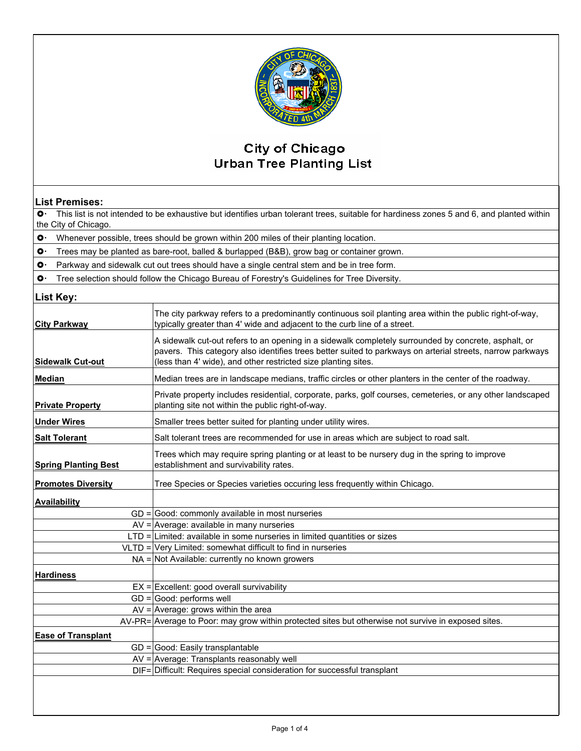

## **City of Chicago Urban Tree Planting List**

## **List Premises:**

 $\bullet$  This list is not intended to be exhaustive but identifies urban tolerant trees, suitable for hardiness zones 5 and 6, and planted within the City of Chicago.

 $\bullet$  Whenever possible, trees should be grown within 200 miles of their planting location.

 $\circ$  Trees may be planted as bare-root, balled & burlapped (B&B), grow bag or container grown.

 $\circ$  Parkway and sidewalk cut out trees should have a single central stem and be in tree form.

 $\circ$  Tree selection should follow the Chicago Bureau of Forestry's Guidelines for Tree Diversity.

## **List Key:**

| <b>City Parkway</b>         | The city parkway refers to a predominantly continuous soil planting area within the public right-of-way,<br>typically greater than 4' wide and adjacent to the curb line of a street.                                                                                                |
|-----------------------------|--------------------------------------------------------------------------------------------------------------------------------------------------------------------------------------------------------------------------------------------------------------------------------------|
| <b>Sidewalk Cut-out</b>     | A sidewalk cut-out refers to an opening in a sidewalk completely surrounded by concrete, asphalt, or<br>pavers. This category also identifies trees better suited to parkways on arterial streets, narrow parkways<br>(less than 4' wide), and other restricted size planting sites. |
| <b>Median</b>               | Median trees are in landscape medians, traffic circles or other planters in the center of the roadway.                                                                                                                                                                               |
| <b>Private Property</b>     | Private property includes residential, corporate, parks, golf courses, cemeteries, or any other landscaped<br>planting site not within the public right-of-way.                                                                                                                      |
| <b>Under Wires</b>          | Smaller trees better suited for planting under utility wires.                                                                                                                                                                                                                        |
| <b>Salt Tolerant</b>        | Salt tolerant trees are recommended for use in areas which are subject to road salt.                                                                                                                                                                                                 |
| <b>Spring Planting Best</b> | Trees which may require spring planting or at least to be nursery dug in the spring to improve<br>establishment and survivability rates.                                                                                                                                             |
| <b>Promotes Diversity</b>   | Tree Species or Species varieties occuring less frequently within Chicago.                                                                                                                                                                                                           |
| <b>Availability</b>         |                                                                                                                                                                                                                                                                                      |
|                             | $GD =$ Good: commonly available in most nurseries                                                                                                                                                                                                                                    |
|                             | $AV =$ Average: available in many nurseries                                                                                                                                                                                                                                          |
|                             | $LTD =$ Limited: available in some nurseries in limited quantities or sizes                                                                                                                                                                                                          |
|                             | $VLTD =  Very Limited: somewhat difficult to find in numeries$                                                                                                                                                                                                                       |
|                             | $NA =$ Not Available: currently no known growers                                                                                                                                                                                                                                     |
| <b>Hardiness</b>            |                                                                                                                                                                                                                                                                                      |
|                             | $EX =$ Excellent: good overall survivability                                                                                                                                                                                                                                         |
|                             | $GD =$ Good: performs well                                                                                                                                                                                                                                                           |
|                             | $AV =$ Average: grows within the area                                                                                                                                                                                                                                                |
|                             | AV-PR= Average to Poor: may grow within protected sites but otherwise not survive in exposed sites.                                                                                                                                                                                  |
| <b>Ease of Transplant</b>   |                                                                                                                                                                                                                                                                                      |
|                             | $GD =$ Good: Easily transplantable                                                                                                                                                                                                                                                   |
|                             | $AV =$ Average: Transplants reasonably well                                                                                                                                                                                                                                          |
|                             | DIF= Difficult: Requires special consideration for successful transplant                                                                                                                                                                                                             |
|                             |                                                                                                                                                                                                                                                                                      |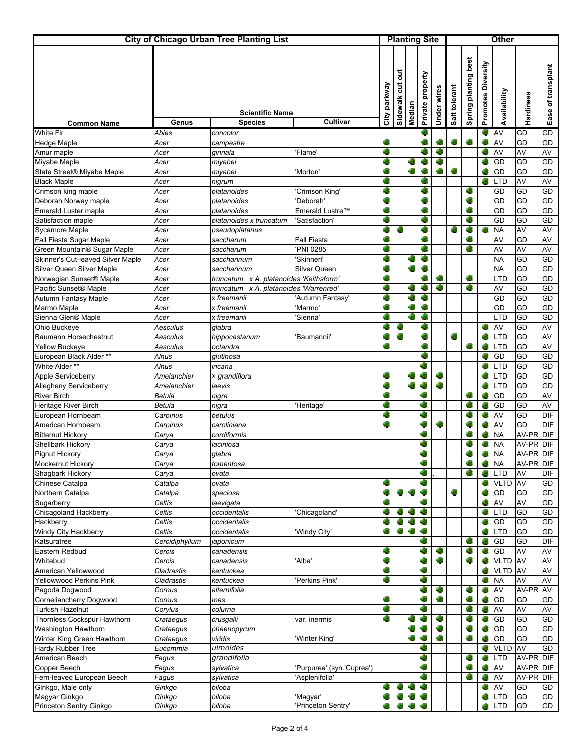| <b>City of Chicago Urban Tree Planting List</b>                  |                      |                                          | <b>Planting Site</b>             |              |                   |                  |                  | <b>Other</b> |               |                      |                    |                 |                 |                    |
|------------------------------------------------------------------|----------------------|------------------------------------------|----------------------------------|--------------|-------------------|------------------|------------------|--------------|---------------|----------------------|--------------------|-----------------|-----------------|--------------------|
| <b>Common Name</b>                                               | Genus                | <b>Scientific Name</b><br><b>Species</b> | Cultivar                         | City parkway | ā<br>Sidewalk cut | Median           | Private property | Under wires  | Salt tolerant | Spring planting best | Promotes Diversity | Availability    | Hardiness       | Ease of transplant |
| <b>White Fir</b>                                                 | <b>Abies</b>         | concolor                                 |                                  |              |                   |                  | e.               |              |               |                      | C.                 | AV              | GD              | GD                 |
| Hedge Maple                                                      | Acer                 | campestre                                |                                  | ¢            |                   |                  |                  | C.           | G             | c                    | G                  | AV              | GD              | GD                 |
| Amur maple                                                       | Acer                 | ginnala                                  | 'Flame'                          | ¢            |                   |                  |                  | Ø.           |               |                      | ۰                  | AV              | AV              | AV                 |
| Miyabe Maple                                                     | Acer                 | miyabei                                  |                                  | ۰            |                   | ÷.               |                  | C,           |               |                      |                    | GD              | GD              | GD                 |
| State Street® Miyabe Maple                                       | Acer                 | miyabei                                  | 'Morton'                         | ÷            |                   | c                |                  | G            | G             |                      | G                  | GD              | GD              | GD                 |
| <b>Black Maple</b>                                               | Acer                 | nigrum                                   |                                  | ¢            |                   |                  |                  |              |               |                      | G                  | LTD             | AV              | AV                 |
| Crimson king maple                                               | Acer                 | platanoides                              | 'Crimson King'                   | G            |                   |                  | S                |              |               | æ                    |                    | GD              | GD              | GD                 |
| Deborah Norway maple                                             | Acer                 | platanoides                              | 'Deborah'                        | ÷            |                   |                  | ÷                |              |               | ۰                    |                    | GD              | GD              | GD                 |
| Emerald Luster maple                                             | Acer                 | platanoides                              | Emerald Lustre™                  | ¢            |                   |                  | G                |              |               | ۰                    |                    | GD              | GD              | GD                 |
| Satisfaction maple                                               | Acer                 | platanoides x truncatum                  | 'Satisfaction'                   | G            |                   |                  | G                |              |               | ۰                    |                    | GD              | GD              | GD                 |
| Sycamore Maple                                                   | Acer                 | pseudoplatanus                           |                                  | ÷<br>¢       | e.                |                  |                  |              | г.            | ۰                    | ۰                  | <b>NA</b>       | AV              | AV                 |
| Fall Fiesta Sugar Maple                                          | Acer<br>Acer         | saccharum                                | <b>Fall Fiesta</b><br>'PNI 0285' | C            |                   |                  |                  |              |               | G                    |                    | AV<br>AV        | GD<br>AV        | AV<br>AV           |
| Green Mountain® Sugar Maple<br>Skinner's Cut-leaved Silver Maple | Acer                 | saccharum<br>saccharinum                 | 'Skinneri'                       | ¢.           |                   |                  | c                |              |               |                      |                    | <b>NA</b>       | GD              | GD                 |
| Silver Queen Silver Maple                                        | Acer                 | saccharinum                              | Silver Queen                     | G            |                   | ×                | ÷                |              |               |                      |                    | <b>NA</b>       | GD              | GD                 |
| Norwegian Sunset® Maple                                          | Acer                 | truncatum x A. platanoides 'Keithsform'  |                                  | ۰            |                   |                  |                  | ÷.           |               | G                    |                    | <b>LTD</b>      | GD              | GD                 |
| Pacific Sunset <sup>®</sup> Maple                                | Acer                 | truncatum x A. platanoides 'Warrenred'   |                                  | ¢            |                   | G                | ÷                | ۰            |               | ۰                    |                    | AV              | GD              | GD                 |
| Autumn Fantasy Maple                                             | Acer                 | x freemanii                              | 'Autumn Fantasy'                 | ¢            |                   |                  | C.               |              |               |                      |                    | GD              | GD              | GD                 |
| Marmo Maple                                                      | Acer                 | x freemanii                              | 'Marmo'                          | ۰            |                   | G                | G                |              |               |                      |                    | GD              | GD              | GD                 |
| Sienna Glen® Maple                                               | Acer                 | x freemanii                              | Sienna'                          | c            |                   | C                | G                |              |               |                      |                    | <b>LTD</b>      | GD              | GD                 |
| Ohio Buckeye                                                     | Aesculus             | qlabra                                   |                                  | G            | G                 |                  | G                |              |               |                      | C.                 | AV              | GD              | AV                 |
| Baumann Horsechestnut                                            | Aesculus             | hippocastanum                            | 'Baumannii'                      | ÷            | G                 |                  | ۰                |              | G             |                      | S.                 | <b>LTD</b>      | GD              | AV                 |
| Yellow Buckeye                                                   | Aesculus             | octandra                                 |                                  | ¢            |                   |                  | G                |              |               |                      | ÷.                 | LTD             | GD              | AV                 |
| European Black Alder **                                          | Alnus                | glutinosa                                |                                  |              |                   |                  | G                |              |               |                      | Ø.                 | GD              | GD              | GD                 |
| White Alder **                                                   | Alnus                | incana                                   |                                  |              |                   |                  | ×                |              |               |                      | C.                 | <b>LTD</b>      | GD              | GD                 |
| Apple Serviceberry                                               | Amelanchier          | × grandiflora                            |                                  | ¢            |                   | ÷                |                  | G            |               |                      | ÷.                 | <b>LTD</b>      | GD              | GD                 |
| Allegheny Serviceberry                                           | Amelanchier          | laevis                                   |                                  | e            |                   | ÷                | G                | s.           |               |                      | G                  | LTD             | GD              | GD                 |
| <b>River Birch</b>                                               | Betula               | nigra                                    |                                  | ¢            |                   |                  | ۰                |              |               |                      | G                  | GD              | GD              | AV                 |
| Heritage River Birch                                             | Betula               | nigra                                    | 'Heritage'                       | ¢            |                   |                  | ۰<br>G           |              |               | a,                   | G                  | GD              | GD              | AV                 |
| European Hornbeam                                                | Carpinus             | betulus                                  |                                  | ÷<br>G       |                   |                  | ¢                | G            |               |                      | G                  | AV              | GD              | DIF                |
| American Hornbeam<br><b>Bitternut Hickory</b>                    | Carpinus             | caroliniana<br>cordiformis               |                                  |              |                   |                  | G                |              |               | ×                    | C,<br>C.           | AV<br><b>NA</b> | GD<br>AV-PR DIF | <b>DIF</b>         |
| Shellbark Hickory                                                | Carya<br>Carya       | laciniosa                                |                                  |              |                   |                  | G                |              |               |                      | C.                 | <b>NA</b>       | AV-PR DIF       |                    |
| <b>Pignut Hickory</b>                                            | Carya                | glabra                                   |                                  |              |                   |                  | c                |              |               | ÷                    | G                  | <b>NA</b>       | AV-PR DIF       |                    |
| Mockernut Hickory                                                | Carya                | tomentosa                                |                                  |              |                   |                  | ۰                |              |               |                      | ÷.                 | <b>NA</b>       | AV-PR DIF       |                    |
| Shagbark Hickory                                                 | Carya                | ovata                                    |                                  |              |                   |                  | Ġ                |              |               | ۰                    | G                  | LTD             | AV              | DIF                |
| Chinese Catalpa                                                  | Catalpa              | ovata                                    |                                  | ¢            |                   |                  | ۰                |              |               |                      | G                  | <b>VLTD</b>     | AV              | GD                 |
| Northern Catalpa                                                 | Catalpa              | speciosa                                 |                                  | G            | ¢.                | ¢                | G                |              | G             |                      | C.                 | GD              | GD              | GD                 |
| Sugarberry                                                       | Celtis               | laevigata                                |                                  | ÷.           |                   |                  | V.               |              |               |                      | C.                 | AV              | AV              | GD                 |
| Chicagoland Hackberry                                            | Celtis               | occidentalis                             | 'Chicagoland'                    | ۰            |                   | ۰                | <b>S</b>         |              |               |                      | G                  | LTD             | GD              | GD                 |
| Hackberry                                                        | Celtis               | occidentalis                             |                                  | ۰            | ٩.                | <b>September</b> | 4.               |              |               |                      | G                  | GD              | GD              | GD                 |
| Windy City Hackberry                                             | Celtis               | occidentalis                             | 'Windy City'                     | C.           | ۰                 | ۰                | G                |              |               |                      | G                  | <b>LTD</b>      | GD              | GD                 |
| Katsuratree                                                      | Cercidiphyllum       | japonicum                                |                                  |              |                   |                  | ۰                |              |               | ÷                    | G.                 | GD              | GD              | <b>DIF</b>         |
| Eastern Redbud                                                   | Cercis               | canadensis                               |                                  | ÷            |                   |                  | G                | ۰            |               | G                    | ۰                  | GD              | AV              | AV                 |
| Whitebud                                                         | Cercis               | canadensis                               | 'Alba'                           | <b>C</b>     |                   |                  | c                | <b>C</b>     |               | ۰                    | G                  | <b>VLTD</b>     | <b>AV</b>       | AV                 |
| American Yellowwood                                              | Cladrastis           | kentuckea                                |                                  | G            |                   |                  | ۰                |              |               |                      | G                  | <b>VLTD</b>     | AV              | AV                 |
| Yellowwood Perkins Pink                                          | Cladrastis           | kentuckea                                | 'Perkins Pink'                   | ÷            |                   |                  | ۰                |              |               |                      | ۰                  | <b>NA</b>       | AV              | AV                 |
| Pagoda Dogwood<br>Corneliancherry Dogwood                        | Cornus<br>Cornus     | alternifolia                             |                                  | œ            |                   |                  | ۰<br>C,          | ۰<br>C,      |               | ۰<br>C,              | G.<br>۰            | AV<br>GD        | AV-PR AV<br>GD  | GD                 |
| <b>Turkish Hazelnut</b>                                          |                      | mas                                      |                                  | ¢            |                   |                  | c                |              |               | c                    | G                  | AV              | AV              | AV                 |
| Thornless Cockspur Hawthorn                                      | Corylus<br>Crataegus | colurna<br>crusgalli                     | var. inermis                     | ¢            |                   | G                | G                | ۰            |               | ۰                    | G                  | GD              | GD              | GD                 |
| Washington Hawthorn                                              | Crataegus            | phaenopyrum                              |                                  |              |                   | ÷                | G                | G            |               | ۰                    | G                  | GD              | GD              | GD                 |
| Winter King Green Hawthorn                                       | Crataegus            | viridis                                  | 'Winter King'                    |              |                   | ÷                | ¢                | ¢.           |               | ۰                    | G                  | GD              | GD              | GD                 |
| Hardy Rubber Tree                                                | Eucommia             | ulmoides                                 |                                  |              |                   |                  | ÷                |              |               |                      | G                  | <b>VLTD</b>     | AV              | GD                 |
| American Beech                                                   | Fagus                | grandifolia                              |                                  |              |                   |                  | G                |              |               | ۰                    | G                  | <b>LTD</b>      | AV-PR DIF       |                    |
| Copper Beech                                                     | Fagus                | sylvatica                                | 'Purpurea' (syn.'Cuprea')        |              |                   |                  | ÷                |              |               |                      | G                  | AV              | AV-PR           | <b>DIF</b>         |
| Fern-leaved European Beech                                       | Fagus                | sylvatica                                | 'Asplenifolia'                   |              |                   |                  | C                |              |               | C,                   | ¢.                 | AV              | AV-PR DIF       |                    |
| Ginkgo, Male only                                                | Ginkgo               | biloba                                   |                                  | ۰            | G                 | G                | G                |              |               |                      | G                  | AV              | GD              | GD                 |
| Magyar Ginkgo                                                    | Ginkgo               | biloba                                   | 'Magyar'                         |              |                   |                  | <b>C</b>         |              |               |                      | G                  | LTD             | GD              | GD                 |
| <b>Princeton Sentry Ginkgo</b>                                   | Ginkgo               | biloba                                   | 'Princeton Sentry'               | ۰            | G                 | ۰                | G                |              |               |                      | Ċ.                 | <b>LTD</b>      | GD              | GD                 |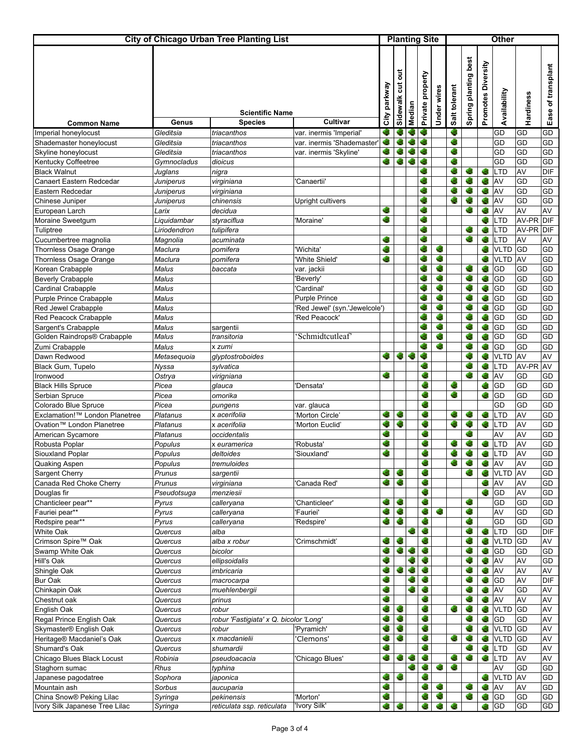| <b>City of Chicago Urban Tree Planting List</b>    |                    |                                                 |                               |              | <b>Planting Site</b> |        |                     |             |               | <b>Other</b>         |                    |                   |                 |                    |  |  |
|----------------------------------------------------|--------------------|-------------------------------------------------|-------------------------------|--------------|----------------------|--------|---------------------|-------------|---------------|----------------------|--------------------|-------------------|-----------------|--------------------|--|--|
| <b>Common Name</b>                                 | Genus              | <b>Scientific Name</b><br><b>Species</b>        | Cultivar                      | City parkway | ă<br>ã<br>Sidewalk   | Median | property<br>Private | Under wires | Salt tolerant | Spring planting best | Promotes Diversity | Availability      | Hardiness       | Ease of transplant |  |  |
| Imperial honeylocust                               | Gleditsia          | triacanthos                                     | var. inermis 'Imperial'       | ¢            |                      |        |                     |             | S.            |                      |                    | GD                | GD              | GD                 |  |  |
| Shademaster honeylocust                            | Gleditsia          | triacanthos                                     | var. inermis 'Shademaster'    |              |                      |        | C                   |             | G             |                      |                    | GD                | GD              | GD                 |  |  |
| Skyline honeylocust                                | Gleditsia          | triacanthos                                     | var. inermis 'Skyline'        |              |                      |        | c                   |             | ۸             |                      |                    | GD                | GD              | GD                 |  |  |
| Kentucky Coffeetree                                | Gymnocladus        | dioicus                                         |                               | ۰            | G                    | c      |                     |             | ۵             |                      |                    | GD                | GD              | GD                 |  |  |
| <b>Black Walnut</b>                                | Juglans            | nigra                                           |                               |              |                      |        | ×                   |             | G             | G                    | Ø.                 | LTD               | AV              | <b>DIF</b>         |  |  |
| Canaert Eastern Redcedar                           | Juniperus          | virginiana                                      | Canaertii'                    |              |                      |        |                     |             | C.            |                      | G                  | AV                | GD              | GD                 |  |  |
| Eastern Redcedar                                   | Juniperus          | virginiana                                      |                               |              |                      |        | G                   |             | Ø.            | G                    | G                  | AV                | GD              | GD                 |  |  |
| Chinese Juniper                                    | Juniperus          | chinensis                                       | Upright cultivers             |              |                      |        | G                   |             |               |                      | G                  | AV                | GD              | GD                 |  |  |
| European Larch                                     | Larix              | decidua                                         |                               | c            |                      |        | G                   |             |               | c                    | G                  | AV                | AV              | AV                 |  |  |
| Moraine Sweetgum                                   | Liquidambar        | styraciflua                                     | 'Moraine'                     | C            |                      |        | ۰                   |             |               |                      | G                  | LTD               | AV-PR           | <b>DIF</b>         |  |  |
| Tuliptree                                          | Liriodendron       | tulipifera                                      |                               |              |                      |        | G                   |             |               | G                    | G                  | LTD               | AV-PR           | DIF                |  |  |
| Cucumbertree magnolia                              | Magnolia           | acuminata                                       |                               | e            |                      |        | ۰<br>c              |             |               | ۰                    | 儋                  | LTD               | AV              | AV                 |  |  |
| Thornless Osage Orange                             | Maclura            | pomifera                                        | 'Wichita'                     | G            |                      |        |                     | œ<br>۰      |               |                      | G                  | <b>VLTD</b>       | GD              | GD                 |  |  |
| Thornless Osage Orange                             | Maclura            | pomifera                                        | 'White Shield'                | ¢.           |                      |        | G                   | G           |               | æ                    | G                  | <b>VLTD</b>       | AV              | GD<br>GD           |  |  |
| Korean Crabapple                                   | Malus<br>Malus     | baccata                                         | var. jackii<br>'Beverly'      |              |                      |        |                     | G           |               | ۵                    | G<br>G             | GD<br>GD          | GD<br>GD        | GD                 |  |  |
| <b>Beverly Crabapple</b><br>Cardinal Crabapple     | Malus              |                                                 | 'Cardinal'                    |              |                      |        | G                   | ۰           |               | ÷                    | G                  | GD                | GD              | GD                 |  |  |
| Purple Prince Crabapple                            | Malus              |                                                 | <b>Purple Prince</b>          |              |                      |        |                     | G           |               | C.                   | G                  | GD                | GD              | GD                 |  |  |
| Red Jewel Crabapple                                | Malus              |                                                 | 'Red Jewel' (syn.'Jewelcole') |              |                      |        | G                   | 4È,         |               | G                    | G                  | GD                | GD              | GD                 |  |  |
| Red Peacock Crabapple                              | Malus              |                                                 | 'Red Peacock'                 |              |                      |        | G                   | G           |               |                      | G                  | GD                | GD              | GD                 |  |  |
| Sargent's Crabapple                                | Malus              | sargentii                                       |                               |              |                      |        |                     | G           |               | G                    | C.                 | GD                | GD              | GD                 |  |  |
| Golden Raindrops® Crabapple                        | Malus              | transitoria                                     | Schmidtcutleaf                |              |                      |        | G                   | G           |               | ÷                    | G                  | GD                | GD              | GD                 |  |  |
| Zumi Crabapple                                     | Malus              | x zumi                                          |                               |              |                      |        | ¢                   | G           |               | G                    | G                  | GD                | GD              | GD                 |  |  |
| Dawn Redwood                                       | Metasequoia        | glyptostroboides                                |                               | ۰            | С,                   | ¢      | G                   |             |               | ۵                    | G                  | <b>VLTD</b>       | AV              | AV                 |  |  |
| Black Gum, Tupelo                                  | Nyssa              | sylvatica                                       |                               |              |                      |        |                     |             |               |                      | G                  | LTD               | AV-PR           | AV                 |  |  |
| Ironwood                                           | Ostrya             | virigniana                                      |                               | ¢            |                      |        |                     |             |               | ۰                    | ¢.                 | AV                | GD              | GD                 |  |  |
| <b>Black Hills Spruce</b>                          | Picea              | glauca                                          | 'Densata'                     |              |                      |        |                     |             | G             |                      | G                  | GD                | GD              | GD                 |  |  |
| Serbian Spruce                                     | Picea              | omorika                                         |                               |              |                      |        | ¢                   |             | Ø.            |                      | G                  | GD                | GD              | GD                 |  |  |
| Colorado Blue Spruce                               | Picea              | pungens                                         | var. glauca                   |              |                      |        | ¢                   |             |               |                      |                    | GD                | GD              | GD                 |  |  |
| Exclamation!™ London Planetree                     | Platanus           | x acerifolia                                    | 'Morton Circle'               | ÷            | ۰                    |        | c                   |             |               |                      | G                  | LTD               | AV              | GD                 |  |  |
| Ovation <sup>™</sup> London Planetree              | Platanus           | x acerifolia                                    | 'Morton Euclid'               | O            | G                    |        | ¢                   |             | ۵             | ۰                    | G                  | LTD               | AV              | GD                 |  |  |
| American Sycamore                                  | Platanus           | occidentalis                                    |                               | C,           |                      |        | s.                  |             |               | œ                    |                    | AV                | AV              | GD                 |  |  |
| Robusta Poplar                                     | Populus            | x euramerica                                    | 'Robusta'                     | ۰<br>G       |                      |        |                     |             | ÷.            |                      |                    | <b>LTD</b>        | AV              | GD                 |  |  |
| Siouxland Poplar                                   | Populus<br>Populus | deltoides                                       | 'Siouxland'                   |              |                      |        | e.                  |             | G             |                      |                    | LTD               | AV              | GD                 |  |  |
| Quaking Aspen<br>Sargent Cherry                    | Prunus             | tremuloides<br>sargentii                        |                               | ۰            | ¢.                   |        | G                   |             |               | ۰                    | C.<br>¢.           | AV<br><b>VLTD</b> | AV<br><b>AV</b> | GD<br>GD           |  |  |
| Canada Red Choke Cherry                            | Prunus             | virginiana                                      | Canada Red'                   | ۰            | ¢.                   |        | G                   |             |               |                      | G.                 | AV                | AV              | GD                 |  |  |
| Douglas fir                                        | Pseudotsuga        | menziesii                                       |                               |              |                      |        | r.                  |             |               |                      | G                  | GD                | AV              | GD                 |  |  |
| Chanticleer pear**                                 | Pyrus              | calleryana                                      | Chanticleer'                  |              | ×                    |        | g,                  |             |               | e.                   |                    | GD                | GD              | GD                 |  |  |
| Fauriei pear**                                     | Pyrus              | calleryana                                      | 'Fauriei'                     | G            | G                    |        |                     | ۰           |               | ۰                    |                    | AV                | GD              | GD                 |  |  |
| Redspire pear**                                    | Pyrus              | calleryana                                      | 'Redspire'                    | ۰            | ¢.                   |        | e                   |             |               | ۰                    |                    | GD                | GD              | GD                 |  |  |
| White Oak                                          | Quercus            | alba                                            |                               |              |                      | s.     | ÷                   |             |               | ۰                    | G                  | <b>LTD</b>        | GD              | <b>DIF</b>         |  |  |
| Crimson Spire™ Oak                                 | Quercus            | alba x robur                                    | 'Crimschmidt'                 | G            | ¢                    |        | ۰                   |             |               | ÷                    | G.                 | <b>VLTD</b>       | GD              | AV                 |  |  |
| Swamp White Oak                                    | Quercus            | bicolor                                         |                               | ÷            | ÷                    |        | ÷                   |             |               |                      | ۰                  | GD                | GD              | GD                 |  |  |
| Hill's Oak                                         | Quercus            | ellipsoidalis                                   |                               |              |                      |        | ¢                   |             |               | C.                   | ۰                  | AV                | AV              | GD                 |  |  |
| Shingle Oak                                        | Quercus            | <i>imbricaria</i>                               |                               | C,           | C.                   | ۰      | C                   |             |               | C,                   | G                  | AV                | AV              | AV                 |  |  |
| <b>Bur Oak</b>                                     | Quercus            | macrocarpa                                      |                               | S            |                      | ۰      | G                   |             |               | ۵                    | <b>C</b>           | <b>GD</b>         | AV              | DIF                |  |  |
| Chinkapin Oak                                      | Quercus            | muehlenbergii                                   |                               | ۰            |                      | ۰      | G                   |             |               | ۰                    | G                  | AV                | GD              | AV                 |  |  |
| Chestnut oak                                       | Quercus            | prinus                                          |                               | ۰            |                      |        |                     |             | c             | œ                    |                    | AV                | AV              | AV                 |  |  |
| English Oak                                        | Quercus            | robur                                           |                               | ¢<br>÷       | C,<br>G              |        | s.                  |             |               | ۰                    | G                  | <b>VLTD</b>       | GD              | AV                 |  |  |
| Regal Prince English Oak<br>Skymaster® English Oak | Quercus<br>Quercus | robur 'Fastigiata' x Q. bicolor 'Long'<br>robur | 'Pyramich'                    |              | G                    |        | G                   |             |               | œ                    | 4.<br>G            | GD<br><b>VLTD</b> | GD<br>GD        | AV<br>AV           |  |  |
| Heritage® Macdaniel's Oak                          | Quercus            | x macdanielii                                   | 'Clemons'                     | ÷.           | C.                   |        | ۰                   |             |               | ÷                    | G                  | <b>VLTD</b>       | GD              | AV                 |  |  |
| Shumard's Oak                                      | Quercus            | shumardii                                       |                               | G            |                      |        | G                   |             |               | ۰                    | ¢.                 | <b>LTD</b>        | GD              | AV                 |  |  |
| Chicago Blues Black Locust                         | Robinia            | pseudoacacia                                    | 'Chicago Blues'               | ۰            | ¢.                   | ۰      | ¢                   |             | G             | ÷                    | ۰                  | <b>LTD</b>        | AV              | AV                 |  |  |
| Staghorn sumac                                     | Rhus               | typhina                                         |                               |              |                      |        |                     | e.          | <b>C</b>      |                      |                    | AV                | GD              | GD                 |  |  |
| Japanese pagodatree                                | Sophora            | japonica                                        |                               | ÷,           | G                    |        | G                   |             |               |                      | G                  | <b>VLTD</b>       | AV              | GD                 |  |  |
| Mountain ash                                       | Sorbus             | aucuparia                                       |                               | e            |                      |        |                     | ¢.          |               | œ                    | G                  | AV                | AV              | GD                 |  |  |
| China Snow® Peking Lilac                           | Syringa            | pekinensis                                      | 'Morton'                      | c            |                      |        |                     | G           |               | ۰                    | G                  | GD                | GD              | GD                 |  |  |
| Ivory Silk Japanese Tree Lilac                     | Syringa            | reticulata ssp. reticulata                      | 'Ivory Silk'                  | ۰            | G                    |        |                     | G           | Ø.            |                      | C.                 | GD                | GD              | GD                 |  |  |